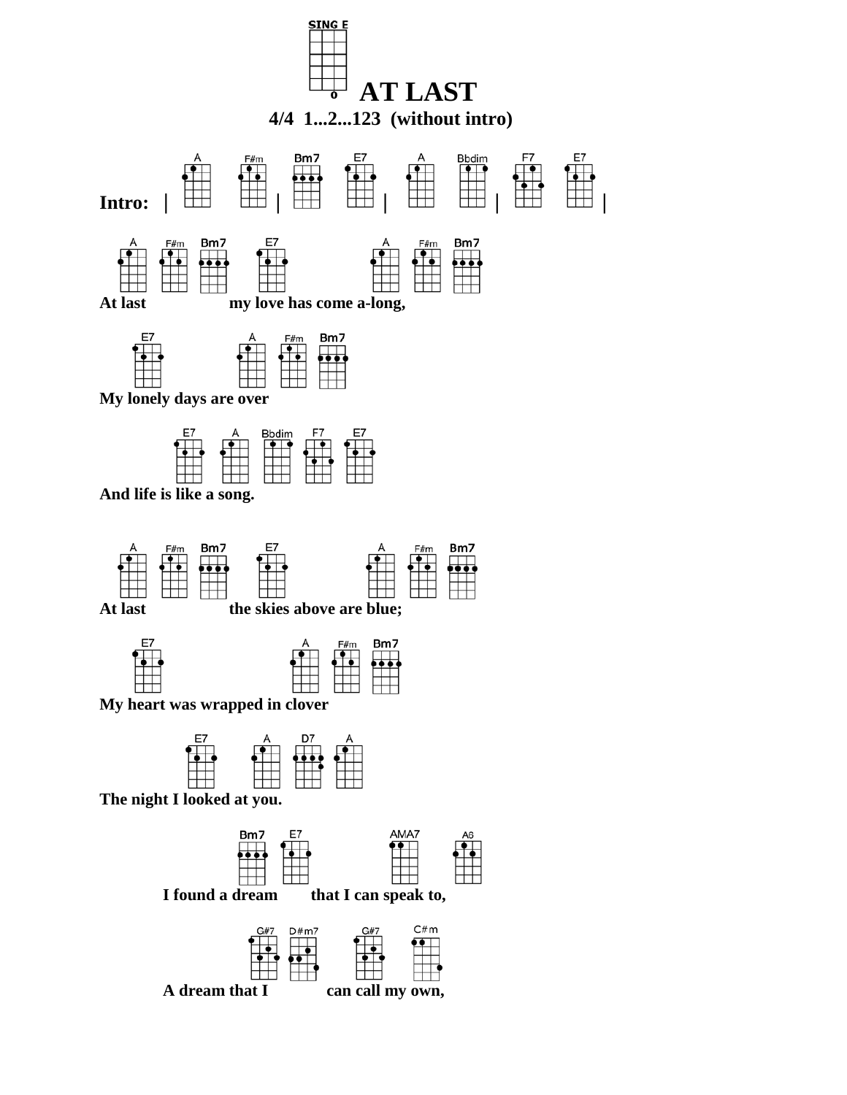



At last the skies above are blue;



 **My heart was wrapped in clover**





 **I found a dream that I can speak to,**



 **A dream that I can call my own,**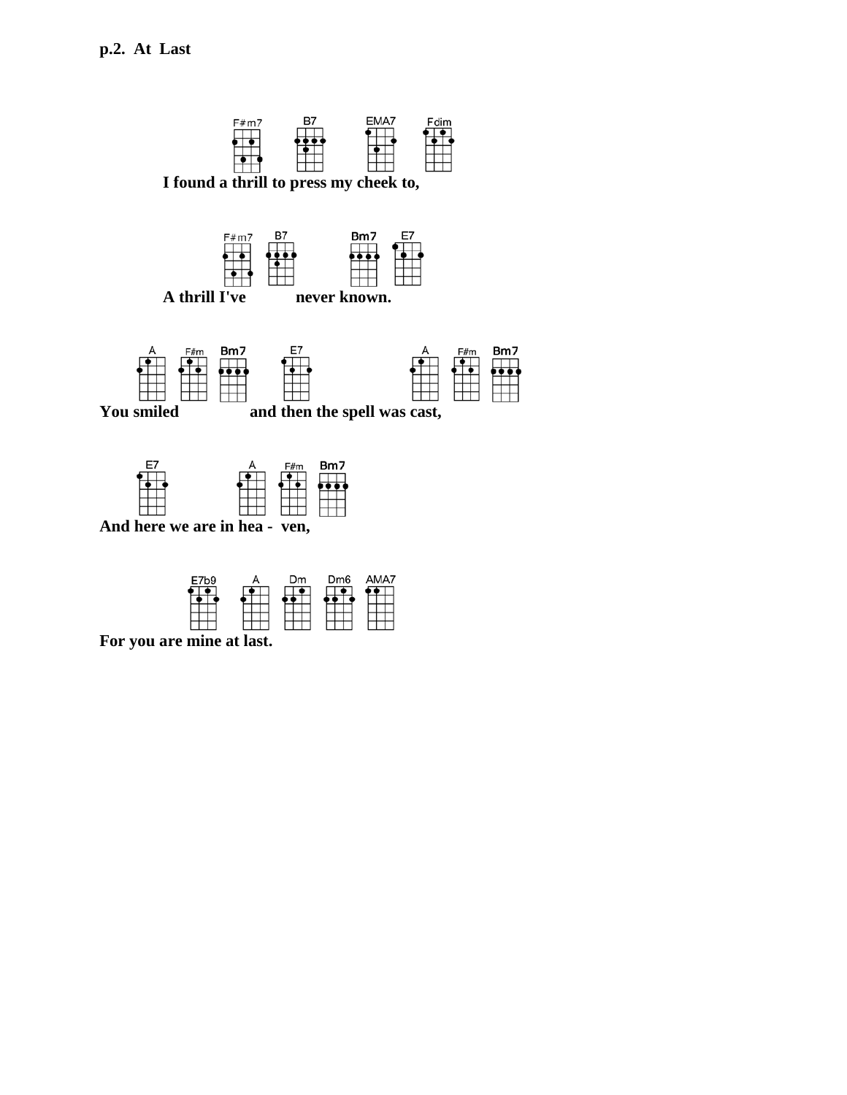

| E7b9 | Dm | Dm <sub>6</sub> |  |
|------|----|-----------------|--|
|      |    |                 |  |
|      |    |                 |  |
|      |    |                 |  |
|      |    |                 |  |

 **For you are mine at last.**